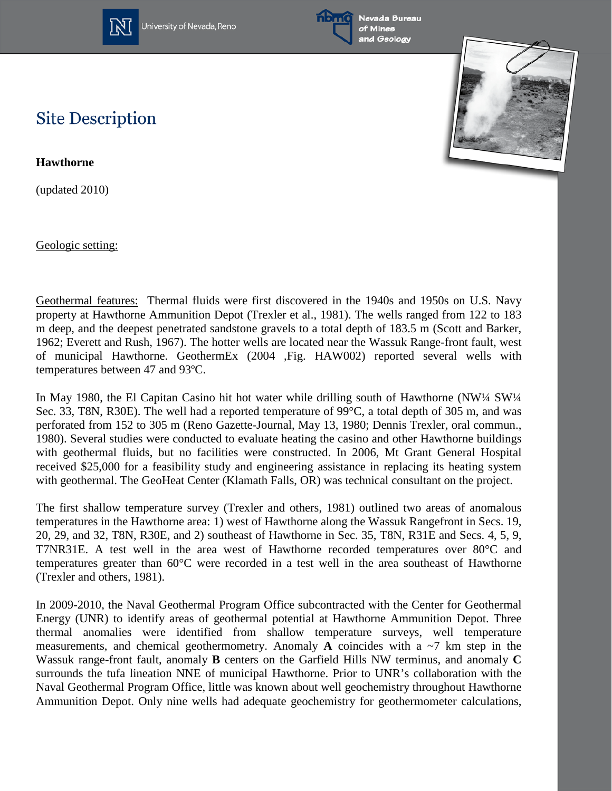

University of Nevada, Reno



## **Site Description**

**Hawthorne**

(updated 2010)

Geologic setting:



Geothermal features: Thermal fluids were first discovered in the 1940s and 1950s on U.S. Navy property at Hawthorne Ammunition Depot (Trexler et al., 1981). The wells ranged from 122 to 183 m deep, and the deepest penetrated sandstone gravels to a total depth of 183.5 m (Scott and Barker, 1962; Everett and Rush, 1967). The hotter wells are located near the Wassuk Range-front fault, west of municipal Hawthorne. GeothermEx (2004 ,Fig. HAW002) reported several wells with temperatures between 47 and 93ºC.

In May 1980, the El Capitan Casino hit hot water while drilling south of Hawthorne (NW¼ SW¼ Sec. 33, T8N, R30E). The well had a reported temperature of 99°C, a total depth of 305 m, and was perforated from 152 to 305 m (Reno Gazette-Journal, May 13, 1980; Dennis Trexler, oral commun., 1980). Several studies were conducted to evaluate heating the casino and other Hawthorne buildings with geothermal fluids, but no facilities were constructed. In 2006, Mt Grant General Hospital received \$25,000 for a feasibility study and engineering assistance in replacing its heating system with geothermal. The GeoHeat Center (Klamath Falls, OR) was technical consultant on the project.

The first shallow temperature survey (Trexler and others, 1981) outlined two areas of anomalous temperatures in the Hawthorne area: 1) west of Hawthorne along the Wassuk Rangefront in Secs. 19, 20, 29, and 32, T8N, R30E, and 2) southeast of Hawthorne in Sec. 35, T8N, R31E and Secs. 4, 5, 9, T7NR31E. A test well in the area west of Hawthorne recorded temperatures over 80°C and temperatures greater than 60°C were recorded in a test well in the area southeast of Hawthorne (Trexler and others, 1981).

In 2009-2010, the Naval Geothermal Program Office subcontracted with the Center for Geothermal Energy (UNR) to identify areas of geothermal potential at Hawthorne Ammunition Depot. Three thermal anomalies were identified from shallow temperature surveys, well temperature measurements, and chemical geothermometry. Anomaly **A** coincides with a  $\sim$ 7 km step in the Wassuk range-front fault, anomaly **B** centers on the Garfield Hills NW terminus, and anomaly **C** surrounds the tufa lineation NNE of municipal Hawthorne. Prior to UNR's collaboration with the Naval Geothermal Program Office, little was known about well geochemistry throughout Hawthorne Ammunition Depot. Only nine wells had adequate geochemistry for geothermometer calculations,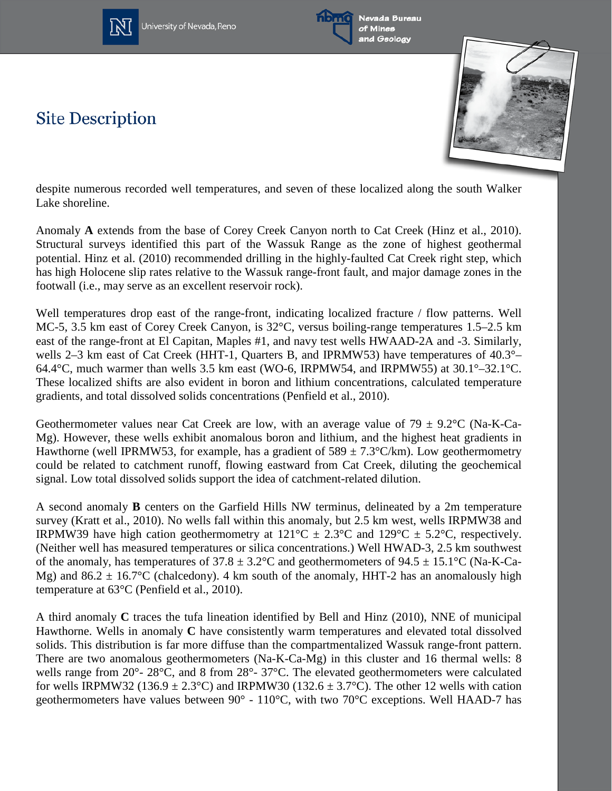







despite numerous recorded well temperatures, and seven of these localized along the south Walker Lake shoreline.

Anomaly **A** extends from the base of Corey Creek Canyon north to Cat Creek (Hinz et al., 2010). Structural surveys identified this part of the Wassuk Range as the zone of highest geothermal potential. Hinz et al. (2010) recommended drilling in the highly-faulted Cat Creek right step, which has high Holocene slip rates relative to the Wassuk range-front fault, and major damage zones in the footwall (i.e., may serve as an excellent reservoir rock).

Well temperatures drop east of the range-front, indicating localized fracture / flow patterns. Well MC-5, 3.5 km east of Corey Creek Canyon, is 32°C, versus boiling-range temperatures 1.5–2.5 km east of the range-front at El Capitan, Maples #1, and navy test wells HWAAD-2A and -3. Similarly, wells 2–3 km east of Cat Creek (HHT-1, Quarters B, and IPRMW53) have temperatures of 40.3°– 64.4°C, much warmer than wells 3.5 km east (WO-6, IRPMW54, and IRPMW55) at 30.1°–32.1°C. These localized shifts are also evident in boron and lithium concentrations, calculated temperature gradients, and total dissolved solids concentrations (Penfield et al., 2010).

Geothermometer values near Cat Creek are low, with an average value of  $79 \pm 9.2$ °C (Na-K-Ca-Mg). However, these wells exhibit anomalous boron and lithium, and the highest heat gradients in Hawthorne (well IPRMW53, for example, has a gradient of  $589 \pm 7.3^{\circ}$ C/km). Low geothermometry could be related to catchment runoff, flowing eastward from Cat Creek, diluting the geochemical signal. Low total dissolved solids support the idea of catchment-related dilution.

A second anomaly **B** centers on the Garfield Hills NW terminus, delineated by a 2m temperature survey (Kratt et al., 2010). No wells fall within this anomaly, but 2.5 km west, wells IRPMW38 and IRPMW39 have high cation geothermometry at  $121^{\circ}\text{C} \pm 2.3^{\circ}\text{C}$  and  $129^{\circ}\text{C} \pm 5.2^{\circ}\text{C}$ , respectively. (Neither well has measured temperatures or silica concentrations.) Well HWAD-3, 2.5 km southwest of the anomaly, has temperatures of  $37.8 \pm 3.2$ °C and geothermometers of  $94.5 \pm 15.1$ °C (Na-K-Ca-Mg) and  $86.2 \pm 16.7$ °C (chalcedony). 4 km south of the anomaly, HHT-2 has an anomalously high temperature at 63°C (Penfield et al., 2010).

A third anomaly **C** traces the tufa lineation identified by Bell and Hinz (2010), NNE of municipal Hawthorne. Wells in anomaly **C** have consistently warm temperatures and elevated total dissolved solids. This distribution is far more diffuse than the compartmentalized Wassuk range-front pattern. There are two anomalous geothermometers (Na-K-Ca-Mg) in this cluster and 16 thermal wells: 8 wells range from 20°- 28°C, and 8 from 28°- 37°C. The elevated geothermometers were calculated for wells IRPMW32 (136.9  $\pm$  2.3°C) and IRPMW30 (132.6  $\pm$  3.7°C). The other 12 wells with cation geothermometers have values between 90° - 110°C, with two 70°C exceptions. Well HAAD-7 has